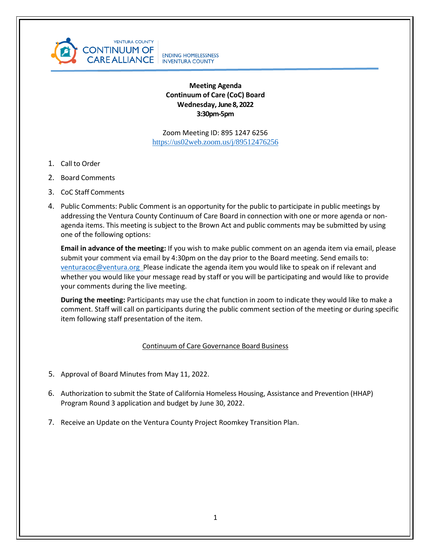

# **Meeting Agenda Continuum of Care (CoC) Board Wednesday, June 8, 2022 3:30pm-5pm**

Zoom Meeting ID: 895 1247 6256 <https://us02web.zoom.us/j/89512476256>

- 1. Call to Order
- 2. Board Comments
- 3. CoC Staff Comments
- 4. Public Comments: Public Comment is an opportunity for the public to participate in public meetings by addressing the Ventura County Continuum of Care Board in connection with one or more agenda or nonagenda items. This meeting is subject to the Brown Act and public comments may be submitted by using one of the following options:

**Email in advance of the meeting:** If you wish to make public comment on an agenda item via email, please submit your comment via email by 4:30pm on the day prior to the Board meeting. Send emails to: [venturacoc@ventura.org](mailto:venturacoc@ventura.org) Please indicate the agenda item you would like to speak on if relevant and whether you would like your message read by staff or you will be participating and would like to provide your comments during the live meeting.

**During the meeting:** Participants may use the chat function in zoom to indicate they would like to make a comment. Staff will call on participants during the public comment section of the meeting or during specific item following staff presentation of the item.

# Continuum of Care Governance Board Business

- 5. Approval of Board Minutes from May 11, 2022.
- 6. Authorization to submit the State of California Homeless Housing, Assistance and Prevention (HHAP) Program Round 3 application and budget by June 30, 2022.
- 7. Receive an Update on the Ventura County Project Roomkey Transition Plan.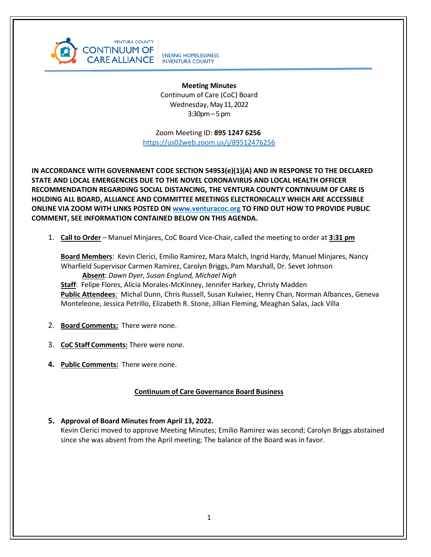

**Meeting Minutes** Continuum of Care (CoC) Board Wednesday, May 11, 2022 3:30pm–5 pm

 Zoom Meeting ID: **895 1247 6256** <https://us02web.zoom.us/j/89512476256>

**IN ACCORDANCE WITH GOVERNMENT CODE SECTION 54953(e)(1)(A) AND IN RESPONSE TO THE DECLARED STATE AND LOCAL EMERGENCIES DUE TO THE NOVEL CORONAVIRUS AND LOCAL HEALTH OFFICER RECOMMENDATION REGARDING SOCIAL DISTANCING, THE VENTURA COUNTY CONTINUUM OF CARE IS HOLDING ALL BOARD, ALLIANCE AND COMMITTEE MEETINGS ELECTRONICALLY WHICH ARE ACCESSIBLE ONLINE VIA ZOOM WITH LINKS POSTED ON [www.venturacoc.org](http://www.venturacoc.org/) TO FIND OUT HOW TO PROVIDE PUBLIC COMMENT, SEE INFORMATION CONTAINED BELOW ON THIS AGENDA.**

1. **Call to Order** – Manuel Minjares, CoC Board Vice-Chair, called the meeting to order at **3:31 pm**

**Board Members**: Kevin Clerici, Emilio Ramirez, Mara Malch, Ingrid Hardy, Manuel Minjares, Nancy Wharfield Supervisor Carmen Ramirez, Carolyn Briggs, Pam Marshall, Dr. Sevet Johnson **Absent**: *Dawn Dyer, Susan Englund, Michael Nigh*

**Staff**: Felipe Flores, Alicia Morales-McKinney, Jennifer Harkey, Christy Madden **Public Attendees**: Michal Dunn, Chris Russell, Susan Kulwiec, Henry Chan, Norman Albances, Geneva Monteleone, Jessica Petrillo, Elizabeth R. Stone, Jillian Fleming, Meaghan Salas, Jack Villa

- 2. **Board Comments:** There were none.
- 3. **CoC Staff Comments:** There were none.
- **4. Public Comments:** There were none.

# **Continuum of Care Governance Board Business**

**5. Approval of Board Minutes from April 13, 2022.** Kevin Clerici moved to approve Meeting Minutes; Emilio Ramirez was second; Carolyn Briggs abstained since she was absent from the April meeting; The balance of the Board was in favor.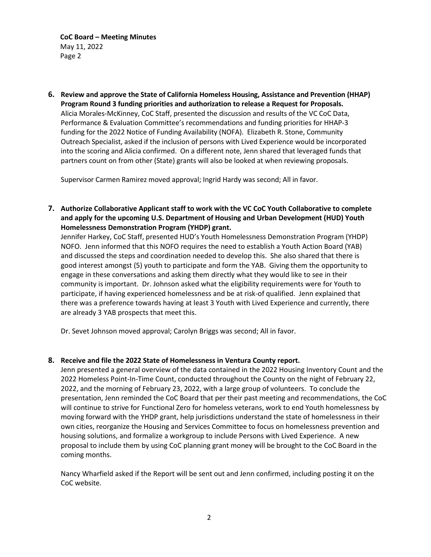**CoC Board – Meeting Minutes** May 11, 2022 Page 2

**6. Review and approve the State of California Homeless Housing, Assistance and Prevention (HHAP) Program Round 3 funding priorities and authorization to release a Request for Proposals.**  Alicia Morales-McKinney, CoC Staff, presented the discussion and results of the VC CoC Data, Performance & Evaluation Committee's recommendations and funding priorities for HHAP-3 funding for the 2022 Notice of Funding Availability (NOFA). Elizabeth R. Stone, Community Outreach Specialist, asked if the inclusion of persons with Lived Experience would be incorporated into the scoring and Alicia confirmed. On a different note, Jenn shared that leveraged funds that partners count on from other (State) grants will also be looked at when reviewing proposals.

Supervisor Carmen Ramirez moved approval; Ingrid Hardy was second; All in favor.

**7. Authorize Collaborative Applicant staff to work with the VC CoC Youth Collaborative to complete and apply for the upcoming U.S. Department of Housing and Urban Development (HUD) Youth Homelessness Demonstration Program (YHDP) grant.**

Jennifer Harkey, CoC Staff, presented HUD's Youth Homelessness Demonstration Program (YHDP) NOFO. Jenn informed that this NOFO requires the need to establish a Youth Action Board (YAB) and discussed the steps and coordination needed to develop this. She also shared that there is good interest amongst (5) youth to participate and form the YAB. Giving them the opportunity to engage in these conversations and asking them directly what they would like to see in their community is important. Dr. Johnson asked what the eligibility requirements were for Youth to participate, if having experienced homelessness and be at risk-of qualified. Jenn explained that there was a preference towards having at least 3 Youth with Lived Experience and currently, there are already 3 YAB prospects that meet this.

Dr. Sevet Johnson moved approval; Carolyn Briggs was second; All in favor.

### **8. Receive and file the 2022 State of Homelessness in Ventura County report.**

Jenn presented a general overview of the data contained in the 2022 Housing Inventory Count and the 2022 Homeless Point-In-Time Count, conducted throughout the County on the night of February 22, 2022, and the morning of February 23, 2022, with a large group of volunteers. To conclude the presentation, Jenn reminded the CoC Board that per their past meeting and recommendations, the CoC will continue to strive for Functional Zero for homeless veterans, work to end Youth homelessness by moving forward with the YHDP grant, help jurisdictions understand the state of homelessness in their own cities, reorganize the Housing and Services Committee to focus on homelessness prevention and housing solutions, and formalize a workgroup to include Persons with Lived Experience. A new proposal to include them by using CoC planning grant money will be brought to the CoC Board in the coming months.

Nancy Wharfield asked if the Report will be sent out and Jenn confirmed, including posting it on the CoC website.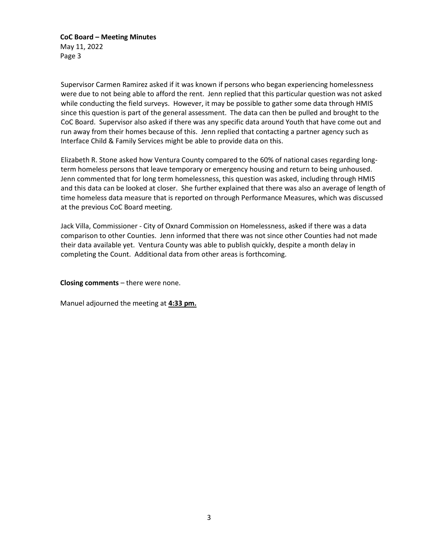**CoC Board – Meeting Minutes** May 11, 2022 Page 3

Supervisor Carmen Ramirez asked if it was known if persons who began experiencing homelessness were due to not being able to afford the rent. Jenn replied that this particular question was not asked while conducting the field surveys. However, it may be possible to gather some data through HMIS since this question is part of the general assessment. The data can then be pulled and brought to the CoC Board. Supervisor also asked if there was any specific data around Youth that have come out and run away from their homes because of this. Jenn replied that contacting a partner agency such as Interface Child & Family Services might be able to provide data on this.

Elizabeth R. Stone asked how Ventura County compared to the 60% of national cases regarding longterm homeless persons that leave temporary or emergency housing and return to being unhoused. Jenn commented that for long term homelessness, this question was asked, including through HMIS and this data can be looked at closer. She further explained that there was also an average of length of time homeless data measure that is reported on through Performance Measures, which was discussed at the previous CoC Board meeting.

Jack Villa, Commissioner - City of Oxnard Commission on Homelessness, asked if there was a data comparison to other Counties. Jenn informed that there was not since other Counties had not made their data available yet. Ventura County was able to publish quickly, despite a month delay in completing the Count. Additional data from other areas is forthcoming.

**Closing comments** – there were none.

Manuel adjourned the meeting at **4:33 pm.**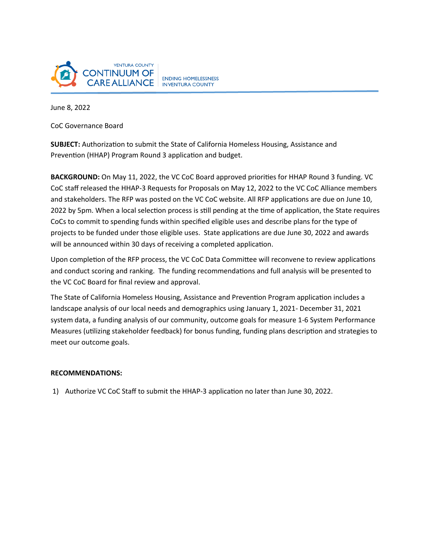

June 8, 2022

CoC Governance Board

**SUBJECT:** Authorization to submit the State of California Homeless Housing, Assistance and Prevention (HHAP) Program Round 3 application and budget.

**BACKGROUND:** On May 11, 2022, the VC CoC Board approved priorities for HHAP Round 3 funding. VC CoC staff released the HHAP-3 Requests for Proposals on May 12, 2022 to the VC CoC Alliance members and stakeholders. The RFP was posted on the VC CoC website. All RFP applications are due on June 10, 2022 by 5pm. When a local selection process is still pending at the time of application, the State requires CoCs to commit to spending funds within specified eligible uses and describe plans for the type of projects to be funded under those eligible uses. State applications are due June 30, 2022 and awards will be announced within 30 days of receiving a completed application.

Upon completion of the RFP process, the VC CoC Data Committee will reconvene to review applications and conduct scoring and ranking. The funding recommendations and full analysis will be presented to the VC CoC Board for final review and approval.

The State of California Homeless Housing, Assistance and Prevention Program application includes a landscape analysis of our local needs and demographics using January 1, 2021- December 31, 2021 system data, a funding analysis of our community, outcome goals for measure 1-6 System Performance Measures (utilizing stakeholder feedback) for bonus funding, funding plans description and strategies to meet our outcome goals.

### **RECOMMENDATIONS:**

1) Authorize VC CoC Staff to submit the HHAP-3 application no later than June 30, 2022.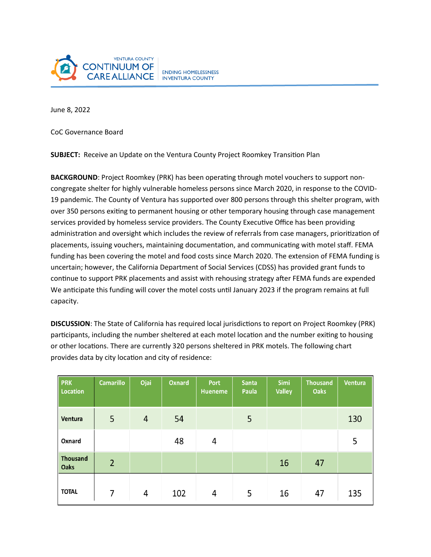

June 8, 2022

CoC Governance Board

**SUBJECT:** Receive an Update on the Ventura County Project Roomkey Transition Plan

**BACKGROUND**: Project Roomkey (PRK) has been operating through motel vouchers to support noncongregate shelter for highly vulnerable homeless persons since March 2020, in response to the COVID-19 pandemic. The County of Ventura has supported over 800 persons through this shelter program, with over 350 persons exiting to permanent housing or other temporary housing through case management services provided by homeless service providers. The County Executive Office has been providing administration and oversight which includes the review of referrals from case managers, prioritization of placements, issuing vouchers, maintaining documentation, and communicating with motel staff. FEMA funding has been covering the motel and food costs since March 2020. The extension of FEMA funding is uncertain; however, the California Department of Social Services (CDSS) has provided grant funds to continue to support PRK placements and assist with rehousing strategy after FEMA funds are expended We anticipate this funding will cover the motel costs until January 2023 if the program remains at full capacity.

**DISCUSSION**: The State of California has required local jurisdictions to report on Project Roomkey (PRK) participants, including the number sheltered at each motel location and the number exiting to housing or other locations. There are currently 320 persons sheltered in PRK motels. The following chart provides data by city location and city of residence:

| <b>PRK</b><br><b>Location</b>  | <b>Camarillo</b> | Ojai           | <b>Oxnard</b> | <b>Port</b><br><b>Hueneme</b> | <b>Santa</b><br>Paula | Simi<br><b>Valley</b> | <b>Thousand</b><br><b>Oaks</b> | <b>Ventura</b> |
|--------------------------------|------------------|----------------|---------------|-------------------------------|-----------------------|-----------------------|--------------------------------|----------------|
| Ventura                        | 5                | $\overline{4}$ | 54            |                               | 5                     |                       |                                | 130            |
| Oxnard                         |                  |                | 48            | 4                             |                       |                       |                                | 5              |
| <b>Thousand</b><br><b>Oaks</b> | $\overline{2}$   |                |               |                               |                       | 16                    | 47                             |                |
| <b>TOTAL</b>                   | 7                | 4              | 102           | 4                             | 5                     | 16                    | 47                             | 135            |